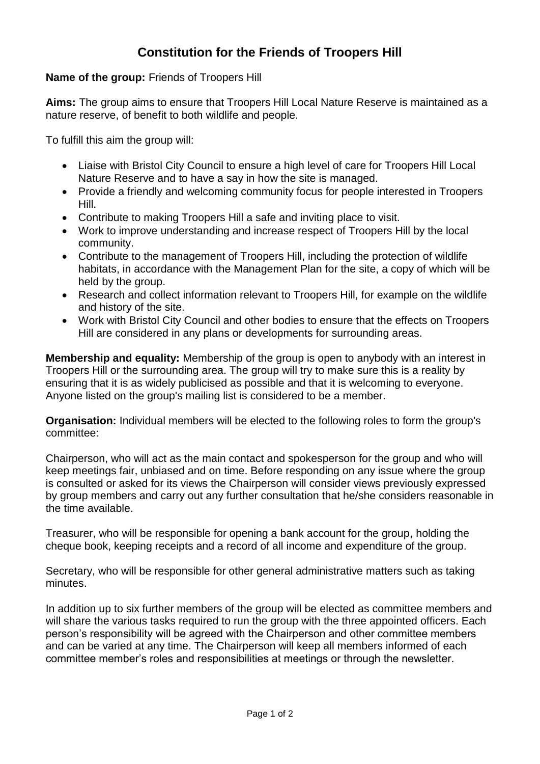## **Constitution for the Friends of Troopers Hill**

## **Name of the group:** Friends of Troopers Hill

**Aims:** The group aims to ensure that Troopers Hill Local Nature Reserve is maintained as a nature reserve, of benefit to both wildlife and people.

To fulfill this aim the group will:

- Liaise with Bristol City Council to ensure a high level of care for Troopers Hill Local Nature Reserve and to have a say in how the site is managed.
- Provide a friendly and welcoming community focus for people interested in Troopers Hill.
- Contribute to making Troopers Hill a safe and inviting place to visit.
- Work to improve understanding and increase respect of Troopers Hill by the local community.
- Contribute to the management of Troopers Hill, including the protection of wildlife habitats, in accordance with the Management Plan for the site, a copy of which will be held by the group.
- Research and collect information relevant to Troopers Hill, for example on the wildlife and history of the site.
- Work with Bristol City Council and other bodies to ensure that the effects on Troopers Hill are considered in any plans or developments for surrounding areas.

**Membership and equality:** Membership of the group is open to anybody with an interest in Troopers Hill or the surrounding area. The group will try to make sure this is a reality by ensuring that it is as widely publicised as possible and that it is welcoming to everyone. Anyone listed on the group's mailing list is considered to be a member.

**Organisation:** Individual members will be elected to the following roles to form the group's committee:

Chairperson, who will act as the main contact and spokesperson for the group and who will keep meetings fair, unbiased and on time. Before responding on any issue where the group is consulted or asked for its views the Chairperson will consider views previously expressed by group members and carry out any further consultation that he/she considers reasonable in the time available.

Treasurer, who will be responsible for opening a bank account for the group, holding the cheque book, keeping receipts and a record of all income and expenditure of the group.

Secretary, who will be responsible for other general administrative matters such as taking minutes.

In addition up to six further members of the group will be elected as committee members and will share the various tasks required to run the group with the three appointed officers. Each person's responsibility will be agreed with the Chairperson and other committee members and can be varied at any time. The Chairperson will keep all members informed of each committee member's roles and responsibilities at meetings or through the newsletter.